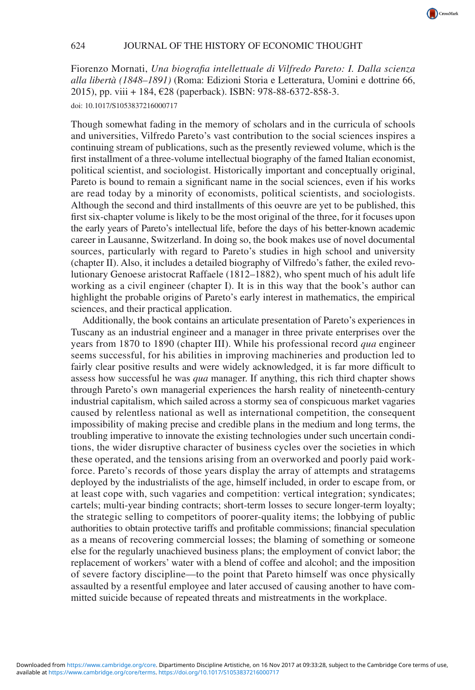CrossMark

Fiorenzo Mornati, *Una biografia intellettuale di Vilfredo Pareto: I. Dalla scienza alla libertà (1848–1891)* (Roma: Edizioni Storia e Letteratura, Uomini e dottrine 66, 2015), pp. viii + 184, €28 (paperback). ISBN: 978-88-6372-858-3. doi: 10.1017/S1053837216000717

Though somewhat fading in the memory of scholars and in the curricula of schools and universities, Vilfredo Pareto's vast contribution to the social sciences inspires a continuing stream of publications, such as the presently reviewed volume, which is the first installment of a three-volume intellectual biography of the famed Italian economist, political scientist, and sociologist. Historically important and conceptually original, Pareto is bound to remain a significant name in the social sciences, even if his works are read today by a minority of economists, political scientists, and sociologists. Although the second and third installments of this oeuvre are yet to be published, this first six-chapter volume is likely to be the most original of the three, for it focuses upon the early years of Pareto's intellectual life, before the days of his better-known academic career in Lausanne, Switzerland. In doing so, the book makes use of novel documental sources, particularly with regard to Pareto's studies in high school and university (chapter II). Also, it includes a detailed biography of Vilfredo's father, the exiled revolutionary Genoese aristocrat Raffaele (1812–1882), who spent much of his adult life working as a civil engineer (chapter I). It is in this way that the book's author can highlight the probable origins of Pareto's early interest in mathematics, the empirical sciences, and their practical application.

Additionally, the book contains an articulate presentation of Pareto's experiences in Tuscany as an industrial engineer and a manager in three private enterprises over the years from 1870 to 1890 (chapter III). While his professional record *qua* engineer seems successful, for his abilities in improving machineries and production led to fairly clear positive results and were widely acknowledged, it is far more difficult to assess how successful he was *qua* manager. If anything, this rich third chapter shows through Pareto's own managerial experiences the harsh reality of nineteenth-century industrial capitalism, which sailed across a stormy sea of conspicuous market vagaries caused by relentless national as well as international competition, the consequent impossibility of making precise and credible plans in the medium and long terms, the troubling imperative to innovate the existing technologies under such uncertain conditions, the wider disruptive character of business cycles over the societies in which these operated, and the tensions arising from an overworked and poorly paid workforce. Pareto's records of those years display the array of attempts and stratagems deployed by the industrialists of the age, himself included, in order to escape from, or at least cope with, such vagaries and competition: vertical integration; syndicates; cartels; multi-year binding contracts; short-term losses to secure longer-term loyalty; the strategic selling to competitors of poorer-quality items; the lobbying of public authorities to obtain protective tariffs and profitable commissions; financial speculation as a means of recovering commercial losses; the blaming of something or someone else for the regularly unachieved business plans; the employment of convict labor; the replacement of workers' water with a blend of coffee and alcohol; and the imposition of severe factory discipline—to the point that Pareto himself was once physically assaulted by a resentful employee and later accused of causing another to have committed suicide because of repeated threats and mistreatments in the workplace.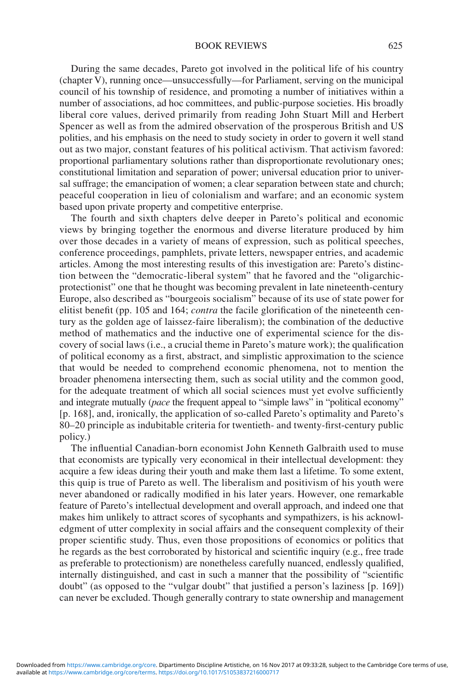## BOOK REVIEWS 625

During the same decades, Pareto got involved in the political life of his country (chapter V), running once—unsuccessfully—for Parliament, serving on the municipal council of his township of residence, and promoting a number of initiatives within a number of associations, ad hoc committees, and public-purpose societies. His broadly liberal core values, derived primarily from reading John Stuart Mill and Herbert Spencer as well as from the admired observation of the prosperous British and US polities, and his emphasis on the need to study society in order to govern it well stand out as two major, constant features of his political activism. That activism favored: proportional parliamentary solutions rather than disproportionate revolutionary ones; constitutional limitation and separation of power; universal education prior to universal suffrage; the emancipation of women; a clear separation between state and church; peaceful cooperation in lieu of colonialism and warfare; and an economic system based upon private property and competitive enterprise.

The fourth and sixth chapters delve deeper in Pareto's political and economic views by bringing together the enormous and diverse literature produced by him over those decades in a variety of means of expression, such as political speeches, conference proceedings, pamphlets, private letters, newspaper entries, and academic articles. Among the most interesting results of this investigation are: Pareto's distinction between the "democratic-liberal system" that he favored and the "oligarchicprotectionist" one that he thought was becoming prevalent in late nineteenth-century Europe, also described as "bourgeois socialism" because of its use of state power for elitist benefit (pp. 105 and 164; *contra* the facile glorification of the nineteenth century as the golden age of laissez-faire liberalism); the combination of the deductive method of mathematics and the inductive one of experimental science for the discovery of social laws (i.e., a crucial theme in Pareto's mature work); the qualification of political economy as a first, abstract, and simplistic approximation to the science that would be needed to comprehend economic phenomena, not to mention the broader phenomena intersecting them, such as social utility and the common good, for the adequate treatment of which all social sciences must yet evolve sufficiently and integrate mutually (*pace* the frequent appeal to "simple laws" in "political economy" [p. 168], and, ironically, the application of so-called Pareto's optimality and Pareto's 80–20 principle as indubitable criteria for twentieth- and twenty-first-century public policy.)

The influential Canadian-born economist John Kenneth Galbraith used to muse that economists are typically very economical in their intellectual development: they acquire a few ideas during their youth and make them last a lifetime. To some extent, this quip is true of Pareto as well. The liberalism and positivism of his youth were never abandoned or radically modified in his later years. However, one remarkable feature of Pareto's intellectual development and overall approach, and indeed one that makes him unlikely to attract scores of sycophants and sympathizers, is his acknowledgment of utter complexity in social affairs and the consequent complexity of their proper scientific study. Thus, even those propositions of economics or politics that he regards as the best corroborated by historical and scientific inquiry (e.g., free trade as preferable to protectionism) are nonetheless carefully nuanced, endlessly qualified, internally distinguished, and cast in such a manner that the possibility of "scientific doubt" (as opposed to the "vulgar doubt" that justified a person's laziness [p. 169]) can never be excluded. Though generally contrary to state ownership and management